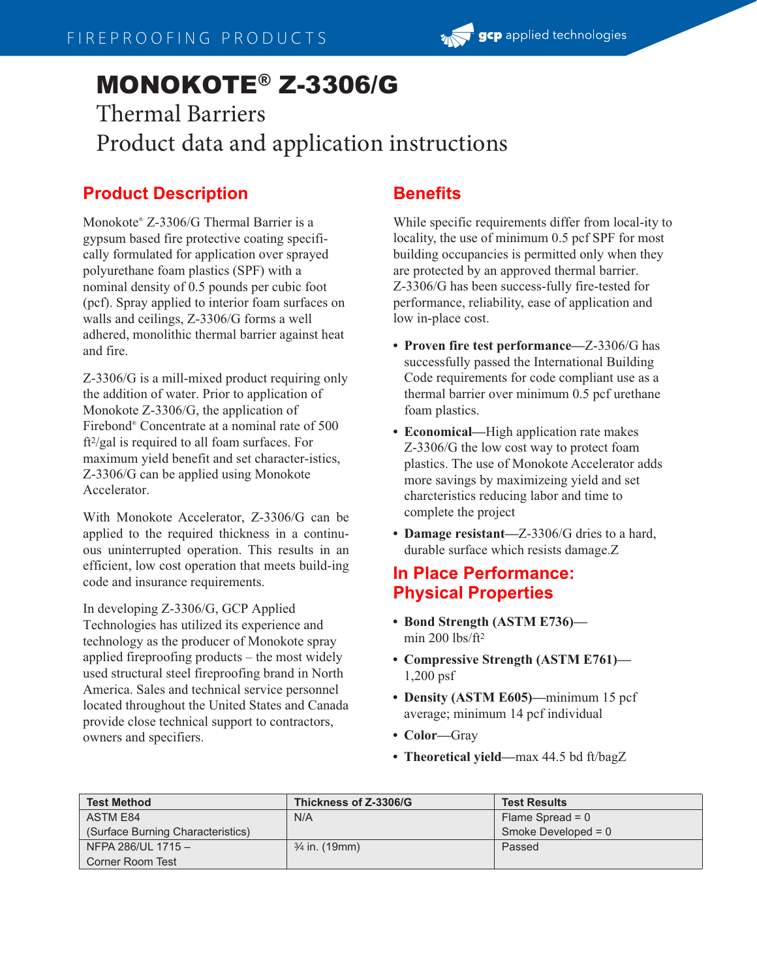# MONOKOTE® Z-3306/G

## Thermal Barriers Product data and application instructions

### **Product Description**

Monokote® Z-3306/G Thermal Barrier is a gypsum based fire protective coating specifically formulated for application over sprayed polyurethane foam plastics (SPF) with a nominal density of 0.5 pounds per cubic foot (pcf). Spray applied to interior foam surfaces on walls and ceilings, Z-3306/G forms a well adhered, monolithic thermal barrier against heat and fire.

Z-3306/G is a mill-mixed product requiring only the addition of water. Prior to application of Monokote Z-3306/G, the application of Firebond® Concentrate at a nominal rate of 500 ft2 /gal is required to all foam surfaces. For maximum yield benefit and set character-istics, Z-3306/G can be applied using Monokote Accelerator.

With Monokote Accelerator, Z-3306/G can be applied to the required thickness in a continuous uninterrupted operation. This results in an efficient, low cost operation that meets build-ing code and insurance requirements.

In developing Z-3306/G, GCP Applied Technologies has utilized its experience and technology as the producer of Monokote spray applied fireproofing products – the most widely used structural steel fireproofing brand in North America. Sales and technical service personnel located throughout the United States and Canada provide close technical support to contractors, owners and specifiers.

#### **Benefits**

While specific requirements differ from local-ity to locality, the use of minimum 0.5 pcf SPF for most building occupancies is permitted only when they are protected by an approved thermal barrier. Z-3306/G has been success-fully fire-tested for performance, reliability, ease of application and low in-place cost.

- **Proven fire test performance—**Z-3306/G has successfully passed the International Building Code requirements for code compliant use as a thermal barrier over minimum 0.5 pcf urethane foam plastics.
- **Economical—**High application rate makes Z-3306/G the low cost way to protect foam plastics. The use of Monokote Accelerator adds more savings by maximizeing yield and set charcteristics reducing labor and time to complete the project
- **Damage resistant—**Z-3306/G dries to a hard, durable surface which resists damage.Z

#### **In Place Performance: Physical Properties**

- **Bond Strength (ASTM E736)** min 200 lbs/ft<sup>2</sup>
- **Compressive Strength (ASTM E761)—** 1,200 psf
- **Density (ASTM E605)—**minimum 15 pcf average; minimum 14 pcf individual
- **Color—**Gray
- **Theoretical yield—**max 44.5 bd ft/bagZ

| <b>Test Method</b>                | Thickness of Z-3306/G    | <b>Test Results</b>   |
|-----------------------------------|--------------------------|-----------------------|
| ASTM E84                          | N/A                      | Flame Spread = $0$    |
| (Surface Burning Characteristics) |                          | Smoke Developed = $0$ |
| NFPA 286/UL 1715 $-$              | $\frac{3}{4}$ in. (19mm) | Passed                |
| Corner Room Test                  |                          |                       |